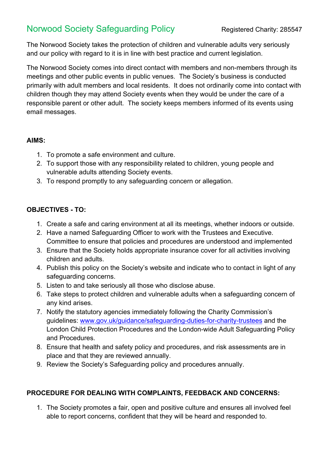## Norwood Society Safeguarding Policy Registered Charity: 285547

The Norwood Society takes the protection of children and vulnerable adults very seriously and our policy with regard to it is in line with best practice and current legislation.

The Norwood Society comes into direct contact with members and non-members through its meetings and other public events in public venues. The Society's business is conducted primarily with adult members and local residents. It does not ordinarily come into contact with children though they may attend Society events when they would be under the care of a responsible parent or other adult. The society keeps members informed of its events using email messages.

## **AIMS:**

- 1. To promote a safe environment and culture.
- 2. To support those with any responsibility related to children, young people and vulnerable adults attending Society events.
- 3. To respond promptly to any safeguarding concern or allegation.

## **OBJECTIVES - TO:**

- 1. Create a safe and caring environment at all its meetings, whether indoors or outside.
- 2. Have a named Safeguarding Officer to work with the Trustees and Executive. Committee to ensure that policies and procedures are understood and implemented
- 3. Ensure that the Society holds appropriate insurance cover for all activities involving children and adults.
- 4. Publish this policy on the Society's website and indicate who to contact in light of any safeguarding concerns.
- 5. Listen to and take seriously all those who disclose abuse.
- 6. Take steps to protect children and vulnerable adults when a safeguarding concern of any kind arises.
- 7. Notify the statutory agencies immediately following the Charity Commission's guidelines: www.gov.uk/guidance/safeguarding-duties-for-charity-trustees and the London Child Protection Procedures and the London-wide Adult Safeguarding Policy and Procedures.
- 8. Ensure that health and safety policy and procedures, and risk assessments are in place and that they are reviewed annually.
- 9. Review the Society's Safeguarding policy and procedures annually.

## **PROCEDURE FOR DEALING WITH COMPLAINTS, FEEDBACK AND CONCERNS:**

1. The Society promotes a fair, open and positive culture and ensures all involved feel able to report concerns, confident that they will be heard and responded to.